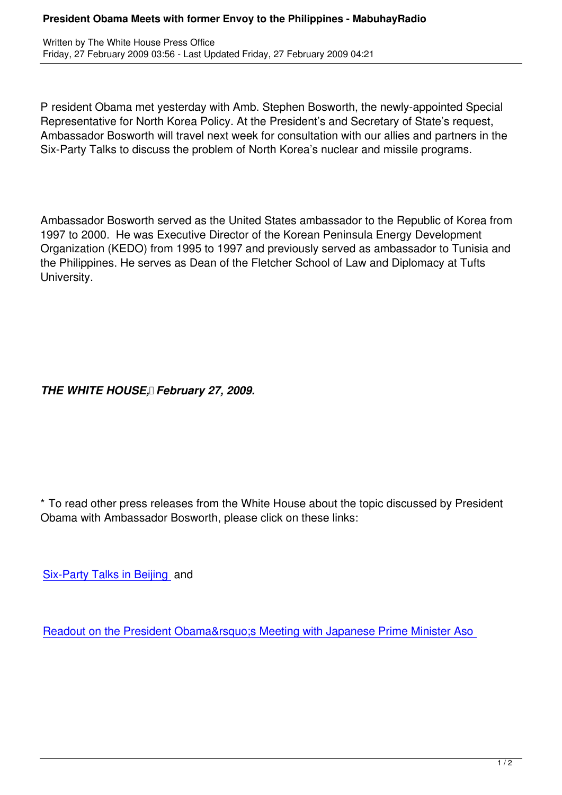P resident Obama met yesterday with Amb. Stephen Bosworth, the newly-appointed Special Representative for North Korea Policy. At the President's and Secretary of State's request, Ambassador Bosworth will travel next week for consultation with our allies and partners in the Six-Party Talks to discuss the problem of North Korea's nuclear and missile programs.

Ambassador Bosworth served as the United States ambassador to the Republic of Korea from 1997 to 2000. He was Executive Director of the Korean Peninsula Energy Development Organization (KEDO) from 1995 to 1997 and previously served as ambassador to Tunisia and the Philippines. He serves as Dean of the Fletcher School of Law and Diplomacy at Tufts University.

*THE WHITE HOUSE, February 27, 2009.*

\* To read other press releases from the White House about the topic discussed by President Obama with Ambassador Bosworth, please click on these links:

Six-Party Talks in Beijing and

[Readout on the President](content/view/566/425/) Obama' Meeting with Japanese Prime Minister Aso